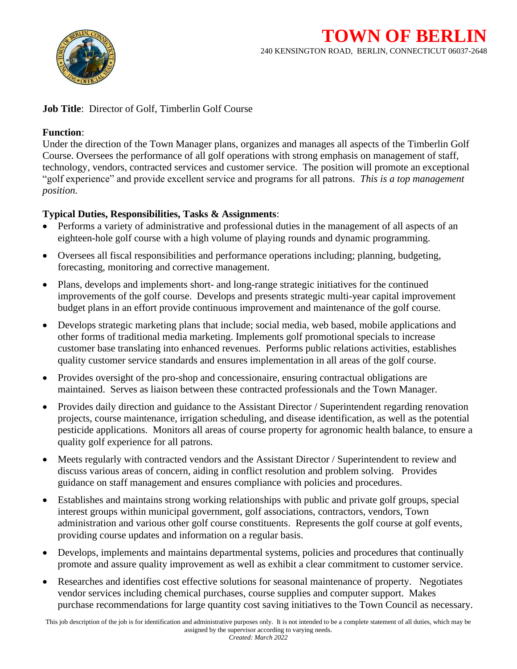

## **Job Title:** Director of Golf, Timberlin Golf Course

## **Function**:

Under the direction of the Town Manager plans, organizes and manages all aspects of the Timberlin Golf Course. Oversees the performance of all golf operations with strong emphasis on management of staff, technology, vendors, contracted services and customer service. The position will promote an exceptional "golf experience" and provide excellent service and programs for all patrons. *This is a top management position.*

## **Typical Duties, Responsibilities, Tasks & Assignments**:

- Performs a variety of administrative and professional duties in the management of all aspects of an eighteen-hole golf course with a high volume of playing rounds and dynamic programming.
- Oversees all fiscal responsibilities and performance operations including; planning, budgeting, forecasting, monitoring and corrective management.
- Plans, develops and implements short- and long-range strategic initiatives for the continued improvements of the golf course. Develops and presents strategic multi-year capital improvement budget plans in an effort provide continuous improvement and maintenance of the golf course.
- Develops strategic marketing plans that include; social media, web based, mobile applications and other forms of traditional media marketing. Implements golf promotional specials to increase customer base translating into enhanced revenues. Performs public relations activities, establishes quality customer service standards and ensures implementation in all areas of the golf course.
- Provides oversight of the pro-shop and concessionaire, ensuring contractual obligations are maintained. Serves as liaison between these contracted professionals and the Town Manager.
- Provides daily direction and guidance to the Assistant Director / Superintendent regarding renovation projects, course maintenance, irrigation scheduling, and disease identification, as well as the potential pesticide applications. Monitors all areas of course property for agronomic health balance, to ensure a quality golf experience for all patrons.
- Meets regularly with contracted vendors and the Assistant Director / Superintendent to review and discuss various areas of concern, aiding in conflict resolution and problem solving. Provides guidance on staff management and ensures compliance with policies and procedures.
- Establishes and maintains strong working relationships with public and private golf groups, special interest groups within municipal government, golf associations, contractors, vendors, Town administration and various other golf course constituents. Represents the golf course at golf events, providing course updates and information on a regular basis.
- Develops, implements and maintains departmental systems, policies and procedures that continually promote and assure quality improvement as well as exhibit a clear commitment to customer service.
- Researches and identifies cost effective solutions for seasonal maintenance of property. Negotiates vendor services including chemical purchases, course supplies and computer support. Makes purchase recommendations for large quantity cost saving initiatives to the Town Council as necessary.